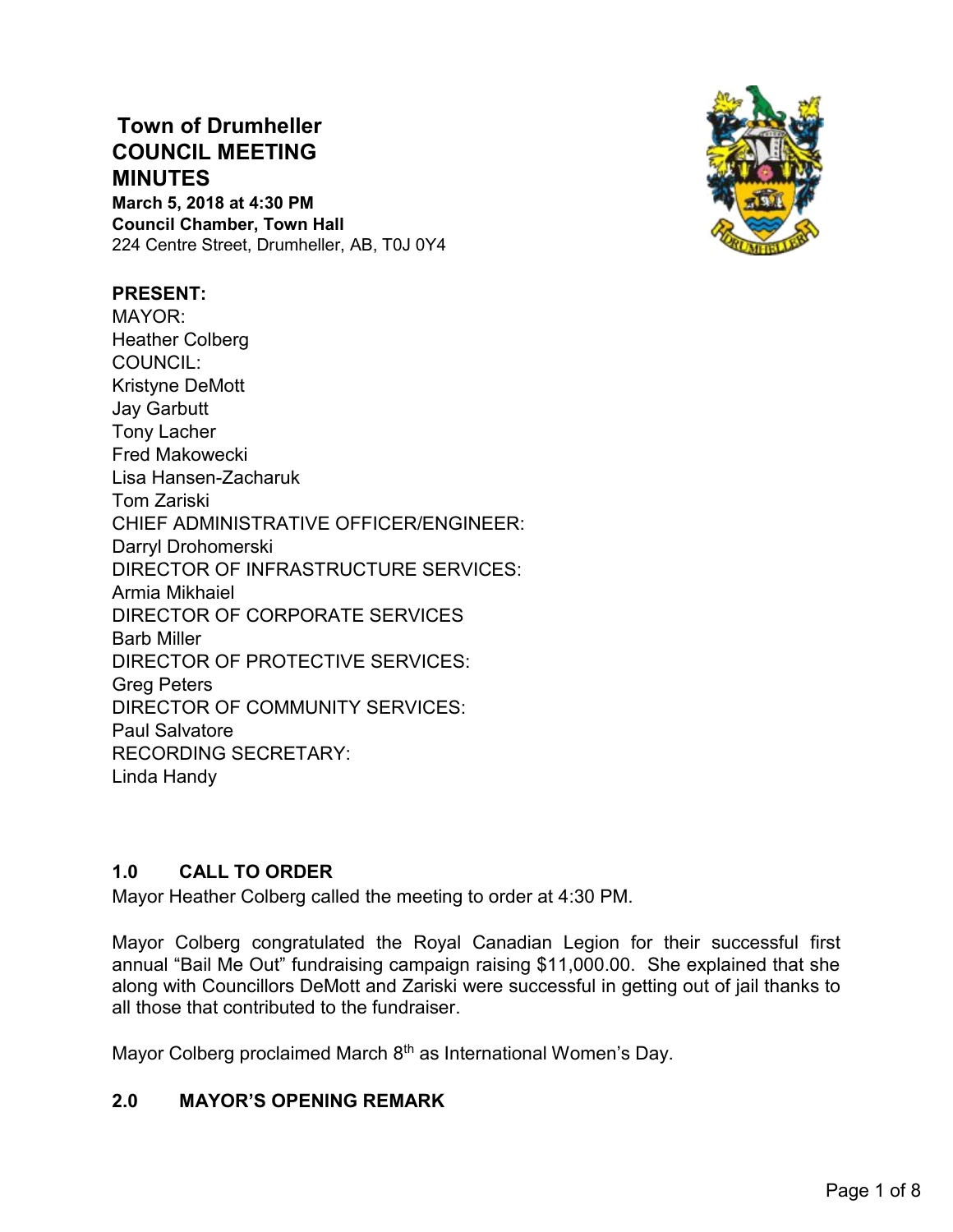# **Town of Drumheller COUNCIL MEETING MINUTES March 5, 2018 at 4:30 PM Council Chamber, Town Hall** 224 Centre Street, Drumheller, AB, T0J 0Y4



#### **PRESENT:**

MAYOR: Heather Colberg COUNCIL: Kristyne DeMott Jay Garbutt Tony Lacher Fred Makowecki Lisa Hansen-Zacharuk Tom Zariski CHIEF ADMINISTRATIVE OFFICER/ENGINEER: Darryl Drohomerski DIRECTOR OF INFRASTRUCTURE SERVICES: Armia Mikhaiel DIRECTOR OF CORPORATE SERVICES Barb Miller DIRECTOR OF PROTECTIVE SERVICES: Greg Peters DIRECTOR OF COMMUNITY SERVICES: Paul Salvatore RECORDING SECRETARY: Linda Handy

## **1.0 CALL TO ORDER**

Mayor Heather Colberg called the meeting to order at 4:30 PM.

Mayor Colberg congratulated the Royal Canadian Legion for their successful first annual "Bail Me Out" fundraising campaign raising \$11,000.00. She explained that she along with Councillors DeMott and Zariski were successful in getting out of jail thanks to all those that contributed to the fundraiser.

Mayor Colberg proclaimed March 8<sup>th</sup> as International Women's Day.

### **2.0 MAYOR'S OPENING REMARK**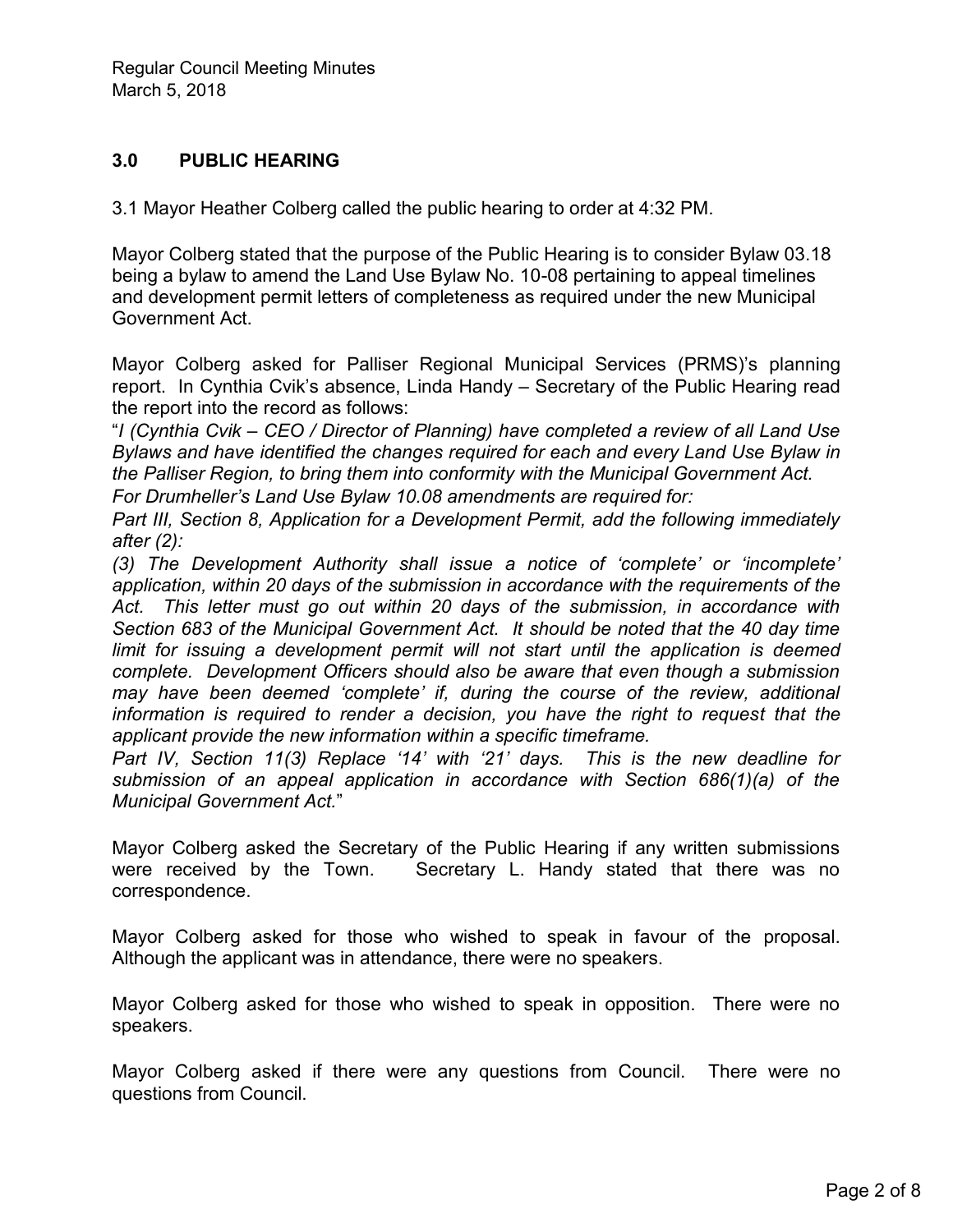## **3.0 PUBLIC HEARING**

3.1 Mayor Heather Colberg called the public hearing to order at 4:32 PM.

Mayor Colberg stated that the purpose of the Public Hearing is to consider Bylaw 03.18 being a bylaw to amend the Land Use Bylaw No. 10-08 pertaining to appeal timelines and development permit letters of completeness as required under the new Municipal Government Act.

Mayor Colberg asked for Palliser Regional Municipal Services (PRMS)'s planning report. In Cynthia Cvik's absence, Linda Handy – Secretary of the Public Hearing read the report into the record as follows:

"*I (Cynthia Cvik – CEO / Director of Planning) have completed a review of all Land Use Bylaws and have identified the changes required for each and every Land Use Bylaw in the Palliser Region, to bring them into conformity with the Municipal Government Act.*

*For Drumheller's Land Use Bylaw 10.08 amendments are required for:*

*Part III, Section 8, Application for a Development Permit, add the following immediately after (2):* 

*(3) The Development Authority shall issue a notice of 'complete' or 'incomplete' application, within 20 days of the submission in accordance with the requirements of the Act. This letter must go out within 20 days of the submission, in accordance with Section 683 of the Municipal Government Act. It should be noted that the 40 day time*  limit for issuing a development permit will not start until the application is deemed *complete. Development Officers should also be aware that even though a submission may have been deemed 'complete' if, during the course of the review, additional information is required to render a decision, you have the right to request that the applicant provide the new information within a specific timeframe.*

*Part IV, Section 11(3) Replace '14' with '21' days. This is the new deadline for submission of an appeal application in accordance with Section 686(1)(a) of the Municipal Government Act.*"

Mayor Colberg asked the Secretary of the Public Hearing if any written submissions were received by the Town. Secretary L. Handy stated that there was no correspondence.

Mayor Colberg asked for those who wished to speak in favour of the proposal. Although the applicant was in attendance, there were no speakers.

Mayor Colberg asked for those who wished to speak in opposition. There were no speakers.

Mayor Colberg asked if there were any questions from Council. There were no questions from Council.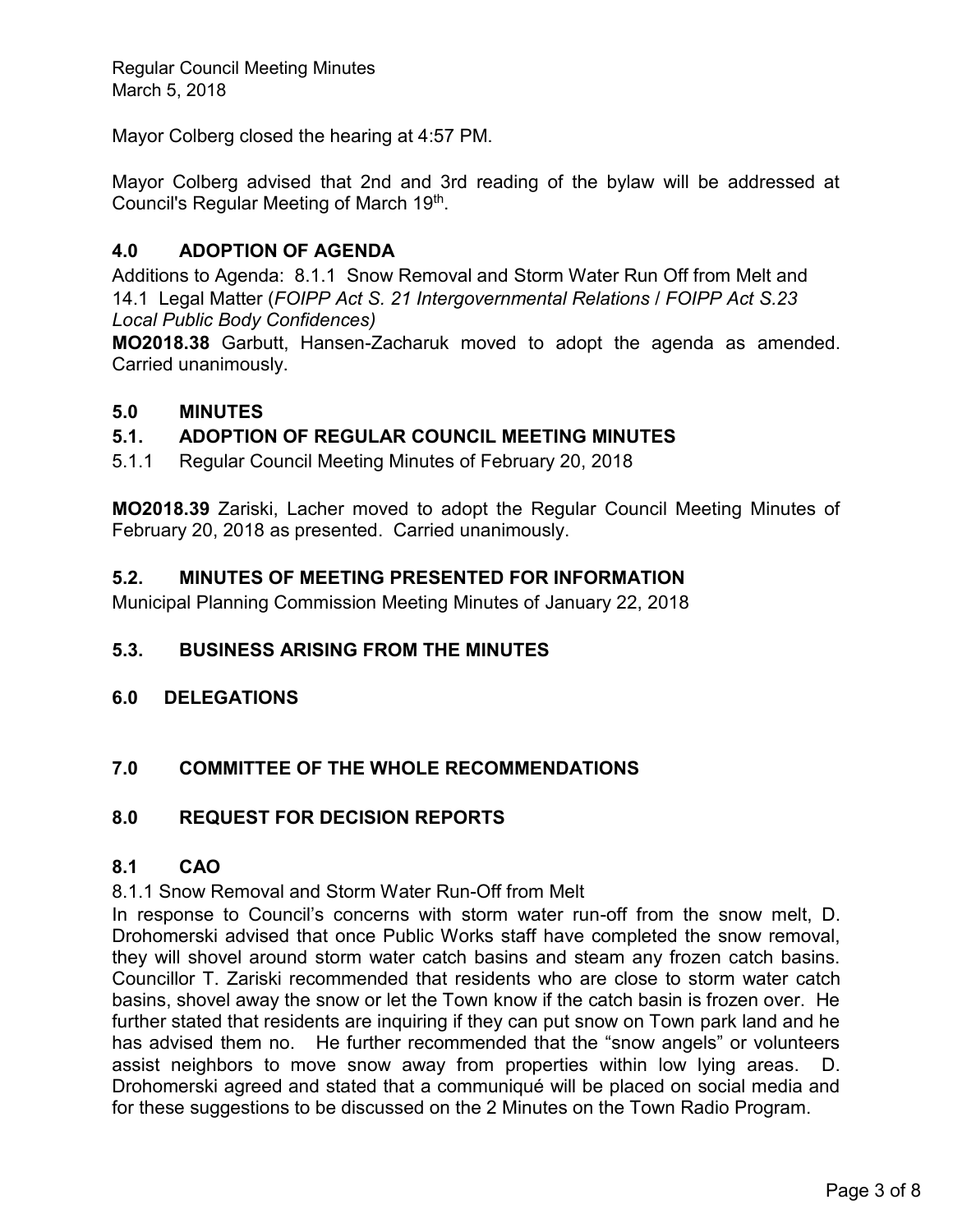Mayor Colberg closed the hearing at 4:57 PM.

Mayor Colberg advised that 2nd and 3rd reading of the bylaw will be addressed at Council's Regular Meeting of March 19<sup>th</sup>.

## **4.0 ADOPTION OF AGENDA**

Additions to Agenda: 8.1.1 Snow Removal and Storm Water Run Off from Melt and 14.1 Legal Matter (*FOIPP Act S. 21 Intergovernmental Relations* / *FOIPP Act S.23 Local Public Body Confidences)*

**MO2018.38** Garbutt, Hansen-Zacharuk moved to adopt the agenda as amended. Carried unanimously.

#### **5.0 MINUTES**

## **5.1. ADOPTION OF REGULAR COUNCIL MEETING MINUTES**

5.1.1 Regular Council Meeting Minutes of February 20, 2018

**MO2018.39** Zariski, Lacher moved to adopt the Regular Council Meeting Minutes of February 20, 2018 as presented. Carried unanimously.

### **5.2. MINUTES OF MEETING PRESENTED FOR INFORMATION**

Municipal Planning Commission Meeting Minutes of January 22, 2018

#### **5.3. BUSINESS ARISING FROM THE MINUTES**

**6.0 DELEGATIONS**

## **7.0 COMMITTEE OF THE WHOLE RECOMMENDATIONS**

#### **8.0 REQUEST FOR DECISION REPORTS**

## **8.1 CAO**

8.1.1 Snow Removal and Storm Water Run-Off from Melt

In response to Council's concerns with storm water run-off from the snow melt, D. Drohomerski advised that once Public Works staff have completed the snow removal, they will shovel around storm water catch basins and steam any frozen catch basins. Councillor T. Zariski recommended that residents who are close to storm water catch basins, shovel away the snow or let the Town know if the catch basin is frozen over. He further stated that residents are inquiring if they can put snow on Town park land and he has advised them no. He further recommended that the "snow angels" or volunteers assist neighbors to move snow away from properties within low lying areas. D. Drohomerski agreed and stated that a communiqué will be placed on social media and for these suggestions to be discussed on the 2 Minutes on the Town Radio Program.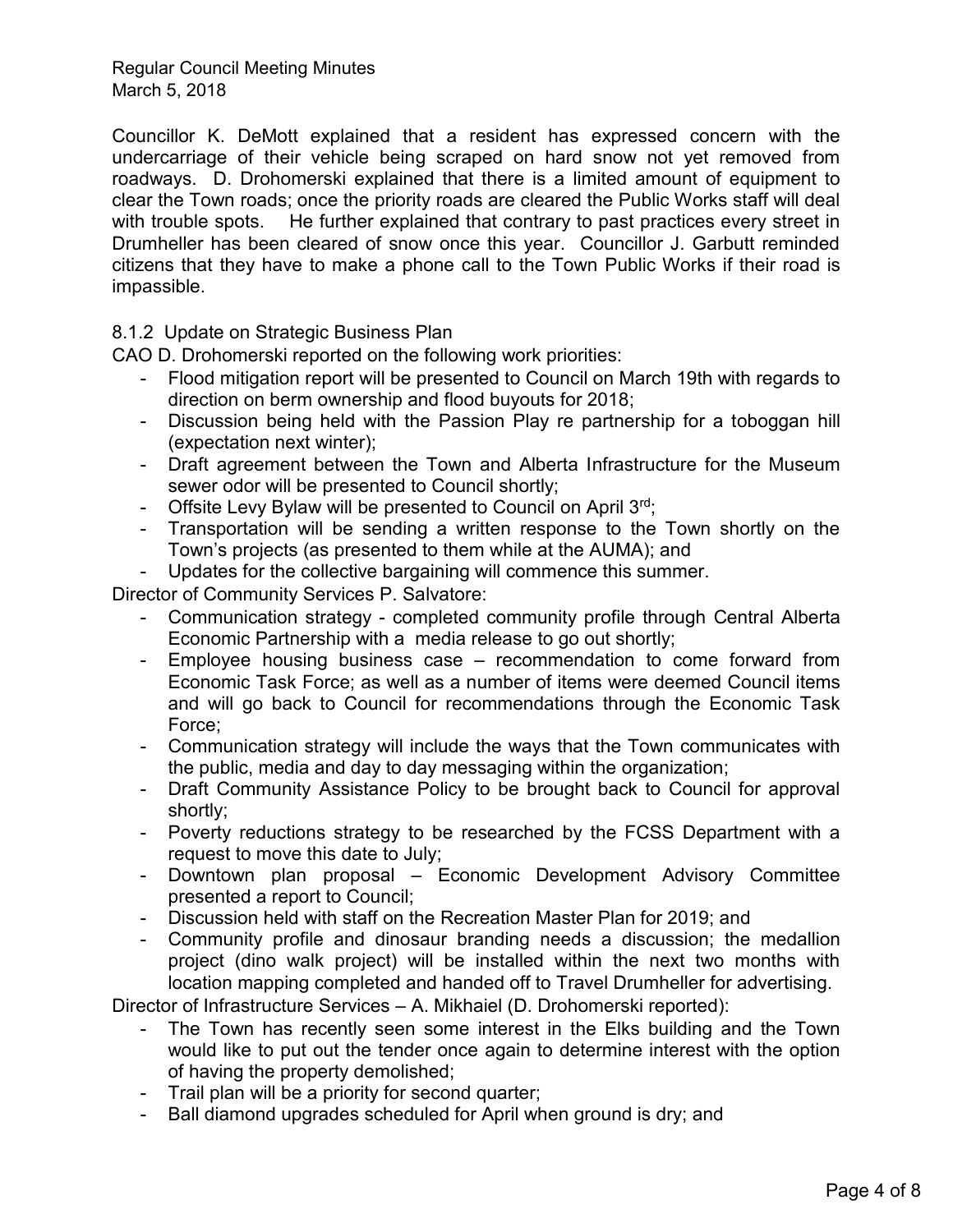Councillor K. DeMott explained that a resident has expressed concern with the undercarriage of their vehicle being scraped on hard snow not yet removed from roadways. D. Drohomerski explained that there is a limited amount of equipment to clear the Town roads; once the priority roads are cleared the Public Works staff will deal with trouble spots. He further explained that contrary to past practices every street in Drumheller has been cleared of snow once this year. Councillor J. Garbutt reminded citizens that they have to make a phone call to the Town Public Works if their road is impassible.

8.1.2 Update on Strategic Business Plan

CAO D. Drohomerski reported on the following work priorities:

- Flood mitigation report will be presented to Council on March 19th with regards to direction on berm ownership and flood buyouts for 2018;
- Discussion being held with the Passion Play re partnership for a toboggan hill (expectation next winter);
- Draft agreement between the Town and Alberta Infrastructure for the Museum sewer odor will be presented to Council shortly;
- Offsite Levy Bylaw will be presented to Council on April  $3^{rd}$ ;
- Transportation will be sending a written response to the Town shortly on the Town's projects (as presented to them while at the AUMA); and
- Updates for the collective bargaining will commence this summer.

Director of Community Services P. Salvatore:

- Communication strategy completed community profile through Central Alberta Economic Partnership with a media release to go out shortly;
- Employee housing business case recommendation to come forward from Economic Task Force; as well as a number of items were deemed Council items and will go back to Council for recommendations through the Economic Task Force;
- Communication strategy will include the ways that the Town communicates with the public, media and day to day messaging within the organization;
- Draft Community Assistance Policy to be brought back to Council for approval shortly;
- Poverty reductions strategy to be researched by the FCSS Department with a request to move this date to July;
- Downtown plan proposal Economic Development Advisory Committee presented a report to Council;
- Discussion held with staff on the Recreation Master Plan for 2019; and
- Community profile and dinosaur branding needs a discussion; the medallion project (dino walk project) will be installed within the next two months with location mapping completed and handed off to Travel Drumheller for advertising.

Director of Infrastructure Services – A. Mikhaiel (D. Drohomerski reported):

- The Town has recently seen some interest in the Elks building and the Town would like to put out the tender once again to determine interest with the option of having the property demolished;
- Trail plan will be a priority for second quarter;
- Ball diamond upgrades scheduled for April when ground is dry; and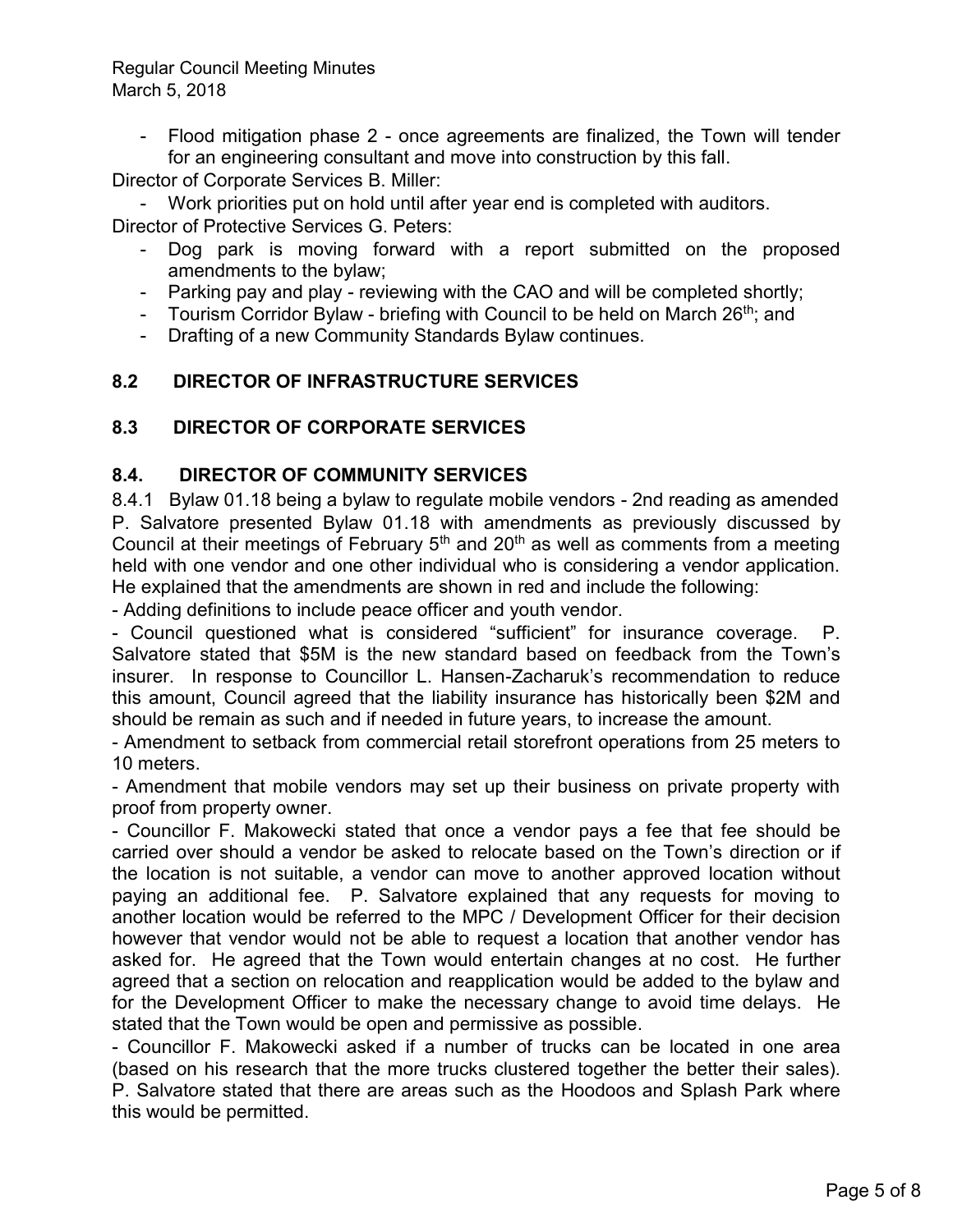- Flood mitigation phase 2 - once agreements are finalized, the Town will tender for an engineering consultant and move into construction by this fall.

Director of Corporate Services B. Miller:

- Work priorities put on hold until after year end is completed with auditors. Director of Protective Services G. Peters:

- Dog park is moving forward with a report submitted on the proposed amendments to the bylaw;
- Parking pay and play reviewing with the CAO and will be completed shortly;
- Tourism Corridor Bylaw briefing with Council to be held on March  $26<sup>th</sup>$ ; and
- Drafting of a new Community Standards Bylaw continues.

## **8.2 DIRECTOR OF INFRASTRUCTURE SERVICES**

## **8.3 DIRECTOR OF CORPORATE SERVICES**

### **8.4. DIRECTOR OF COMMUNITY SERVICES**

8.4.1 Bylaw 01.18 being a bylaw to regulate mobile vendors - 2nd reading as amended P. Salvatore presented Bylaw 01.18 with amendments as previously discussed by Council at their meetings of February  $5<sup>th</sup>$  and  $20<sup>th</sup>$  as well as comments from a meeting held with one vendor and one other individual who is considering a vendor application. He explained that the amendments are shown in red and include the following:

- Adding definitions to include peace officer and youth vendor.

- Council questioned what is considered "sufficient" for insurance coverage. P. Salvatore stated that \$5M is the new standard based on feedback from the Town's insurer. In response to Councillor L. Hansen-Zacharuk's recommendation to reduce this amount, Council agreed that the liability insurance has historically been \$2M and should be remain as such and if needed in future years, to increase the amount.

- Amendment to setback from commercial retail storefront operations from 25 meters to 10 meters.

- Amendment that mobile vendors may set up their business on private property with proof from property owner.

- Councillor F. Makowecki stated that once a vendor pays a fee that fee should be carried over should a vendor be asked to relocate based on the Town's direction or if the location is not suitable, a vendor can move to another approved location without paying an additional fee. P. Salvatore explained that any requests for moving to another location would be referred to the MPC / Development Officer for their decision however that vendor would not be able to request a location that another vendor has asked for. He agreed that the Town would entertain changes at no cost. He further agreed that a section on relocation and reapplication would be added to the bylaw and for the Development Officer to make the necessary change to avoid time delays. He stated that the Town would be open and permissive as possible.

- Councillor F. Makowecki asked if a number of trucks can be located in one area (based on his research that the more trucks clustered together the better their sales). P. Salvatore stated that there are areas such as the Hoodoos and Splash Park where this would be permitted.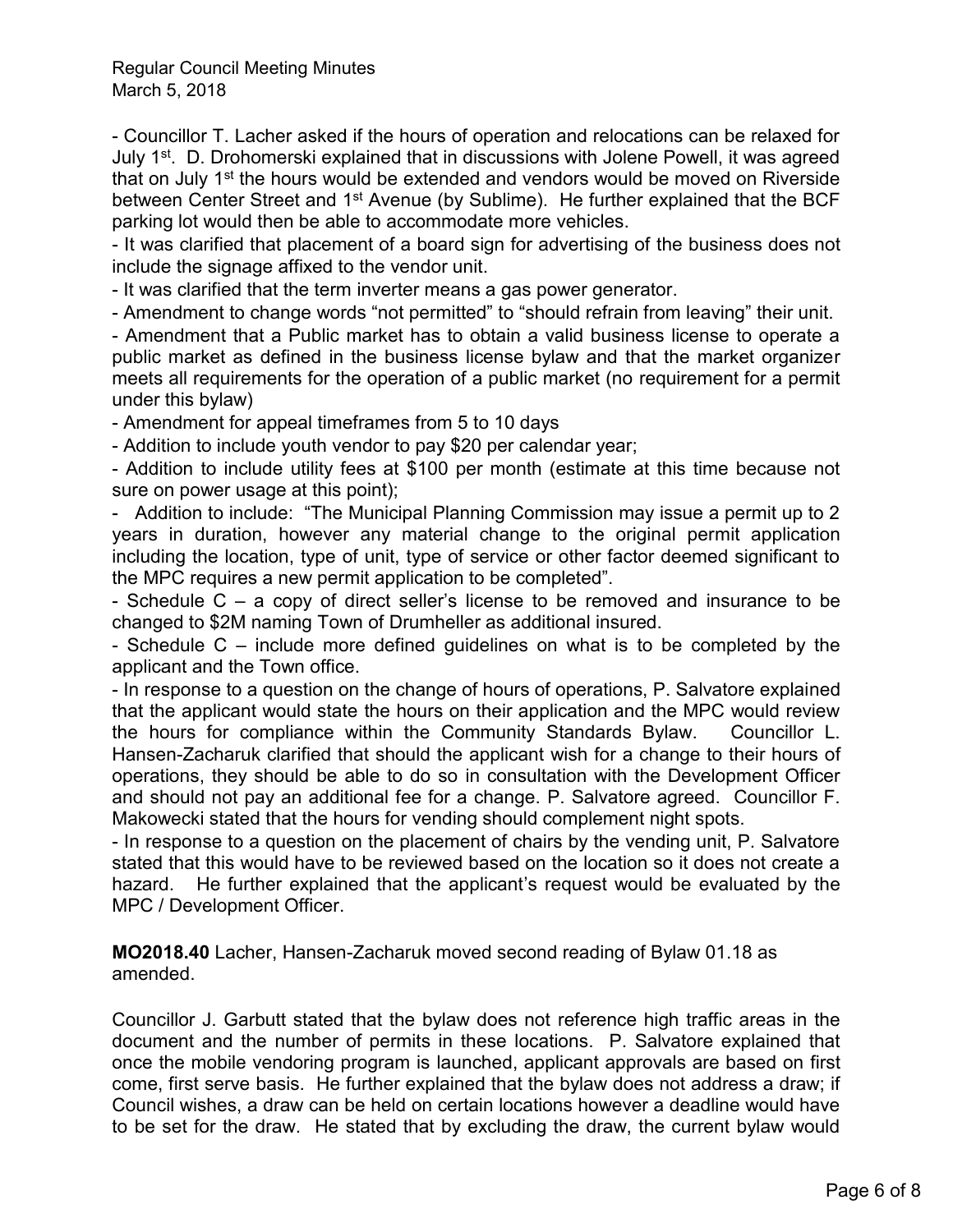- Councillor T. Lacher asked if the hours of operation and relocations can be relaxed for July 1<sup>st</sup>. D. Drohomerski explained that in discussions with Jolene Powell, it was agreed that on July 1<sup>st</sup> the hours would be extended and vendors would be moved on Riverside between Center Street and 1<sup>st</sup> Avenue (by Sublime). He further explained that the BCF parking lot would then be able to accommodate more vehicles.

- It was clarified that placement of a board sign for advertising of the business does not include the signage affixed to the vendor unit.

- It was clarified that the term inverter means a gas power generator.

- Amendment to change words "not permitted" to "should refrain from leaving" their unit.

- Amendment that a Public market has to obtain a valid business license to operate a public market as defined in the business license bylaw and that the market organizer meets all requirements for the operation of a public market (no requirement for a permit under this bylaw)

- Amendment for appeal timeframes from 5 to 10 days

- Addition to include youth vendor to pay \$20 per calendar year;

- Addition to include utility fees at \$100 per month (estimate at this time because not sure on power usage at this point);

- Addition to include: "The Municipal Planning Commission may issue a permit up to 2 years in duration, however any material change to the original permit application including the location, type of unit, type of service or other factor deemed significant to the MPC requires a new permit application to be completed".

- Schedule C – a copy of direct seller's license to be removed and insurance to be changed to \$2M naming Town of Drumheller as additional insured.

- Schedule C – include more defined guidelines on what is to be completed by the applicant and the Town office.

- In response to a question on the change of hours of operations, P. Salvatore explained that the applicant would state the hours on their application and the MPC would review the hours for compliance within the Community Standards Bylaw. Councillor L. Hansen-Zacharuk clarified that should the applicant wish for a change to their hours of operations, they should be able to do so in consultation with the Development Officer and should not pay an additional fee for a change. P. Salvatore agreed. Councillor F. Makowecki stated that the hours for vending should complement night spots.

- In response to a question on the placement of chairs by the vending unit, P. Salvatore stated that this would have to be reviewed based on the location so it does not create a hazard. He further explained that the applicant's request would be evaluated by the MPC / Development Officer.

**MO2018.40** Lacher, Hansen-Zacharuk moved second reading of Bylaw 01.18 as amended.

Councillor J. Garbutt stated that the bylaw does not reference high traffic areas in the document and the number of permits in these locations. P. Salvatore explained that once the mobile vendoring program is launched, applicant approvals are based on first come, first serve basis. He further explained that the bylaw does not address a draw; if Council wishes, a draw can be held on certain locations however a deadline would have to be set for the draw. He stated that by excluding the draw, the current bylaw would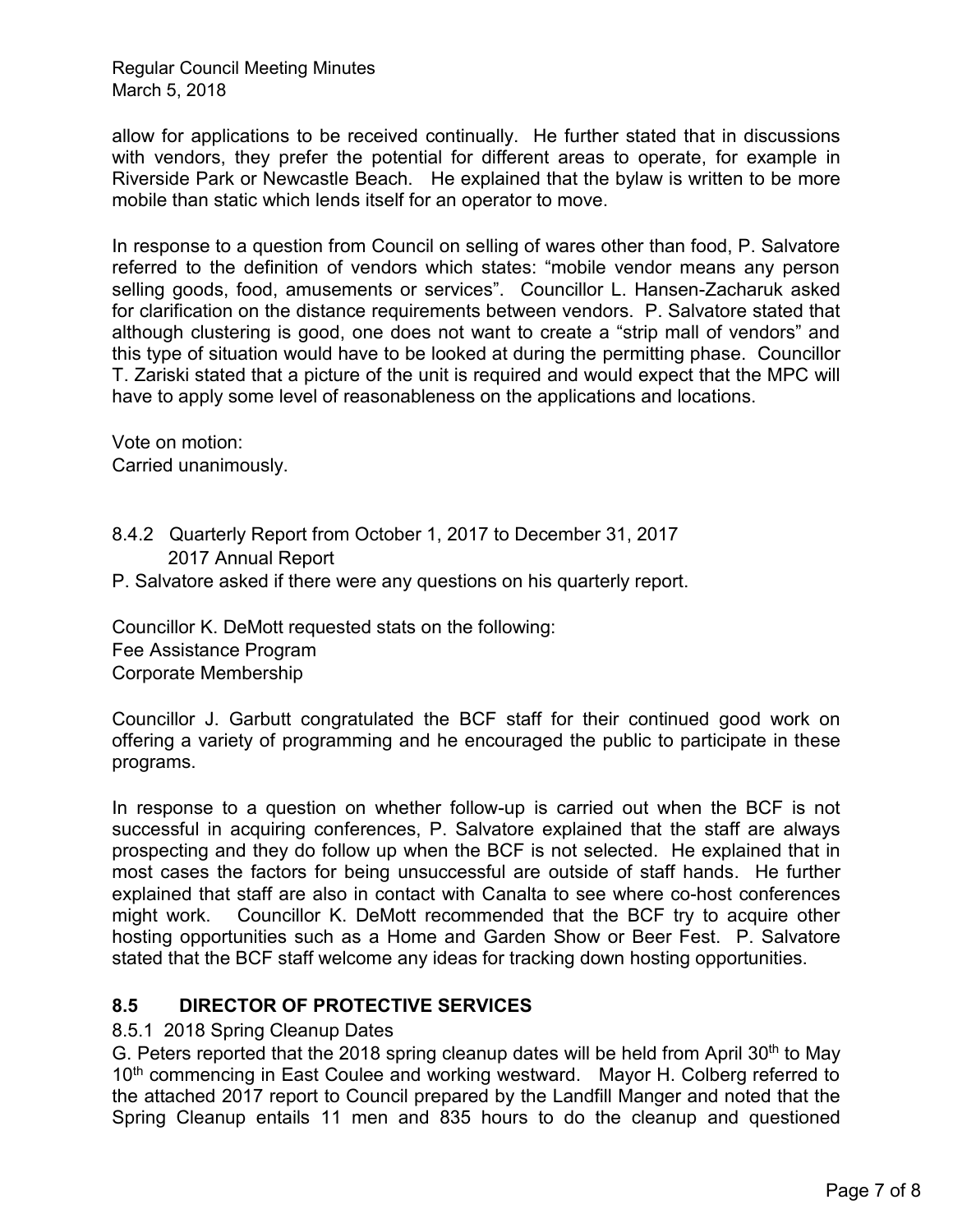allow for applications to be received continually. He further stated that in discussions with vendors, they prefer the potential for different areas to operate, for example in Riverside Park or Newcastle Beach. He explained that the bylaw is written to be more mobile than static which lends itself for an operator to move.

In response to a question from Council on selling of wares other than food, P. Salvatore referred to the definition of vendors which states: "mobile vendor means any person selling goods, food, amusements or services". Councillor L. Hansen-Zacharuk asked for clarification on the distance requirements between vendors. P. Salvatore stated that although clustering is good, one does not want to create a "strip mall of vendors" and this type of situation would have to be looked at during the permitting phase. Councillor T. Zariski stated that a picture of the unit is required and would expect that the MPC will have to apply some level of reasonableness on the applications and locations.

Vote on motion: Carried unanimously.

- 8.4.2 Quarterly Report from October 1, 2017 to December 31, 2017 2017 Annual Report
- P. Salvatore asked if there were any questions on his quarterly report.

Councillor K. DeMott requested stats on the following: Fee Assistance Program Corporate Membership

Councillor J. Garbutt congratulated the BCF staff for their continued good work on offering a variety of programming and he encouraged the public to participate in these programs.

In response to a question on whether follow-up is carried out when the BCF is not successful in acquiring conferences, P. Salvatore explained that the staff are always prospecting and they do follow up when the BCF is not selected. He explained that in most cases the factors for being unsuccessful are outside of staff hands. He further explained that staff are also in contact with Canalta to see where co-host conferences might work. Councillor K. DeMott recommended that the BCF try to acquire other hosting opportunities such as a Home and Garden Show or Beer Fest. P. Salvatore stated that the BCF staff welcome any ideas for tracking down hosting opportunities.

## **8.5 DIRECTOR OF PROTECTIVE SERVICES**

#### 8.5.1 2018 Spring Cleanup Dates

G. Peters reported that the 2018 spring cleanup dates will be held from April 30<sup>th</sup> to May 10<sup>th</sup> commencing in East Coulee and working westward. Mayor H. Colberg referred to the attached 2017 report to Council prepared by the Landfill Manger and noted that the Spring Cleanup entails 11 men and 835 hours to do the cleanup and questioned